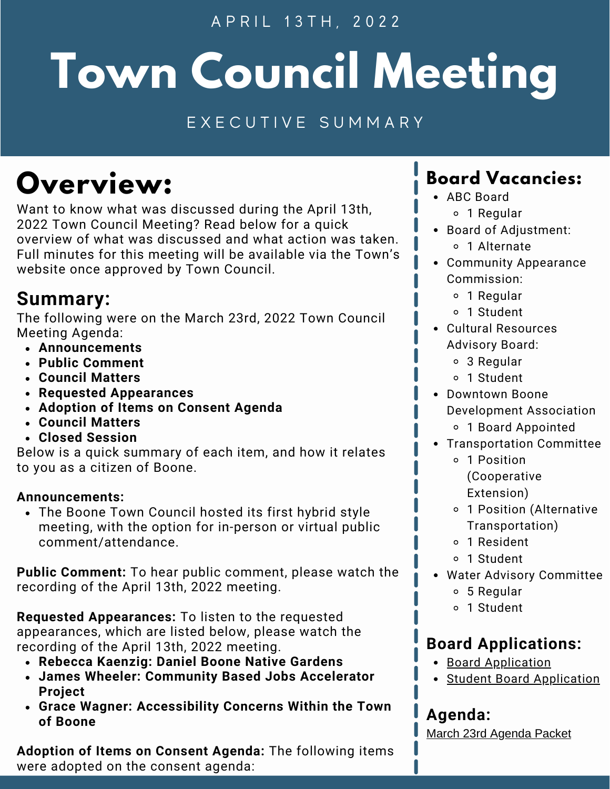A P R I L 1 3 T H , 2 0 2 2

# **Town Council Meeting**

### E X E C U T I V E S U M M A R Y

# **Overview:**

Want to know what was discussed during the April 13th, 2022 Town Council Meeting? Read below for a quick overview of what was discussed and what action was taken. Full minutes for this meeting will be available via the Town's website once approved by Town Council.

# **Summary:**

The following were on the March 23rd, 2022 Town Council Meeting Agenda:

- **Announcements**
- **Public Comment**
- **Council Matters**
- **Requested Appearances**
- **Adoption of Items on Consent Agenda**
- **Council Matters**
- **Closed Session**

Below is a quick summary of each item, and how it relates to you as a citizen of Boone.

#### **Announcements:**

The Boone Town Council hosted its first hybrid style meeting, with the option for in-person or virtual public comment/attendance.

**Public Comment:** To hear public comment, please watch the recording of the April 13th, 2022 meeting.

**Requested Appearances:** To listen to the requested appearances, which are listed below, please watch the recording of the April 13th, 2022 meeting.

- **Rebecca Kaenzig: Daniel Boone Native Gardens**
- **James Wheeler: Community Based Jobs Accelerator Project**
- **Grace Wagner: Accessibility Concerns Within the Town of Boone**

**Adoption of Items on Consent Agenda:** The following items were adopted on the consent agenda:

# **Board Vacancies:**

- ABC Board
	- 1 Regular
- Board of Adjustment: 1 Alternate
- Community Appearance Commission:
	- 1 Regular
	- 1 Student
- Cultural Resources Advisory Board:
	- 3 Regular
	- 1 Student
- Downtown Boone Development Association 1 Board Appointed
- Transportation Committee
	- 1 Position (Cooperative Extension)
	- 1 Position (Alternative Transportation)
	- 1 Resident
	- 1 Student
- Water Advisory Committee
	- 5 Regular
	- 1 Student

# **Board Applications:**

- **Board [Application](https://www.townofboone.net/FormCenter/Town-Clerk-Forms-7/Town-of-Boone-Board-Application-61)**
- Student Board [Application](https://www.townofboone.net/FormCenter/Town-Clerk-Forms-7/Town-of-Boone-Student-Board-Application-62)

# **Agenda:**

March 23rd Agenda Packet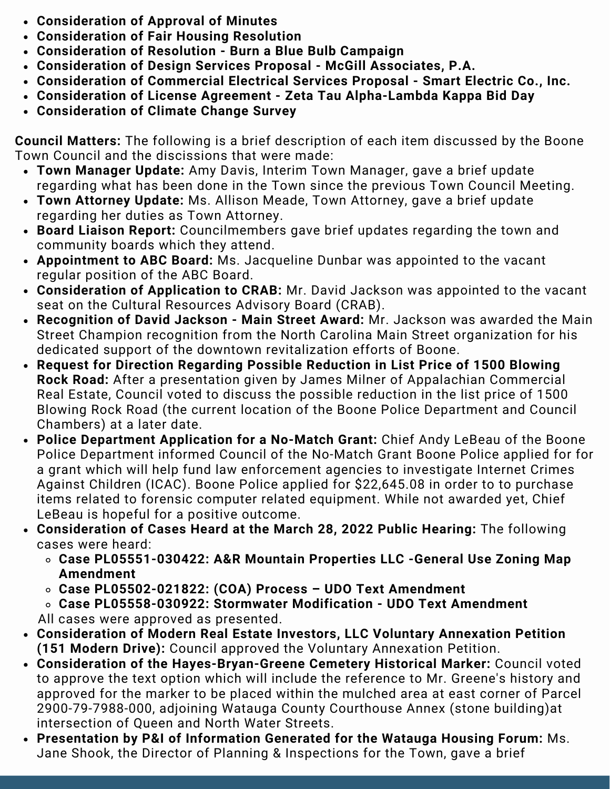- **Consideration of Approval of Minutes**
- **Consideration of Fair Housing Resolution**
- **Consideration of Resolution - Burn a Blue Bulb Campaign**
- **Consideration of Design Services Proposal - McGill Associates, P.A.**
- **Consideration of Commercial Electrical Services Proposal - Smart Electric Co., Inc.**
- **Consideration of License Agreement - Zeta Tau Alpha-Lambda Kappa Bid Day**
- **Consideration of Climate Change Survey**

**Council Matters:** The following is a brief description of each item discussed by the Boone Town Council and the discissions that were made:

- **Town Manager Update:** Amy Davis, Interim Town Manager, gave a brief update regarding what has been done in the Town since the previous Town Council Meeting.
- **Town Attorney Update:** Ms. Allison Meade, Town Attorney, gave a brief update regarding her duties as Town Attorney.
- **Board Liaison Report:** Councilmembers gave brief updates regarding the town and community boards which they attend.
- **Appointment to ABC Board:** Ms. Jacqueline Dunbar was appointed to the vacant regular position of the ABC Board.
- **Consideration of Application to CRAB:** Mr. David Jackson was appointed to the vacant seat on the Cultural Resources Advisory Board (CRAB).
- **Recognition of David Jackson - Main Street Award:** Mr. Jackson was awarded the Main Street Champion recognition from the North Carolina Main Street organization for his dedicated support of the downtown revitalization efforts of Boone.
- **Request for Direction Regarding Possible Reduction in List Price of 1500 Blowing Rock Road:** After a presentation given by James Milner of Appalachian Commercial Real Estate, Council voted to discuss the possible reduction in the list price of 1500 Blowing Rock Road (the current location of the Boone Police Department and Council Chambers) at a later date.
- **Police Department Application for a No-Match Grant:** Chief Andy LeBeau of the Boone Police Department informed Council of the No-Match Grant Boone Police applied for for a grant which will help fund law enforcement agencies to investigate Internet Crimes Against Children (ICAC). Boone Police applied for \$22,645.08 in order to to purchase items related to forensic computer related equipment. While not awarded yet, Chief LeBeau is hopeful for a positive outcome.
- **Consideration of Cases Heard at the March 28, 2022 Public Hearing:** The following cases were heard:
	- **Case PL05551-030422: A&R Mountain Properties LLC -General Use Zoning Map Amendment**
	- **Case PL05502-021822: (COA) Process – UDO Text Amendment**

**Case PL05558-030922: Stormwater Modification - UDO Text Amendment** All cases were approved as presented.

- **Consideration of Modern Real Estate Investors, LLC Voluntary Annexation Petition (151 Modern Drive):** Council approved the Voluntary Annexation Petition.
- **Consideration of the Hayes-Bryan-Greene Cemetery Historical Marker:** Council voted to approve the text option which will include the reference to Mr. Greene's history and approved for the marker to be placed within the mulched area at east corner of Parcel 2900-79-7988-000, adjoining Watauga County Courthouse Annex (stone building)at intersection of Queen and North Water Streets.
- **Presentation by P&I of Information Generated for the Watauga Housing Forum:** Ms. Jane Shook, the Director of Planning & Inspections for the Town, gave a brief